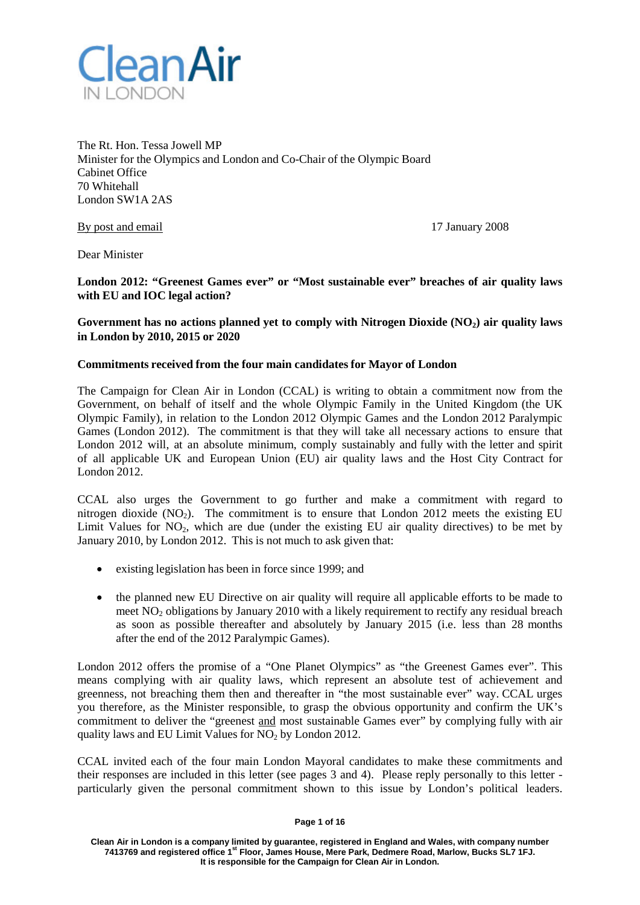

The Rt. Hon. Tessa Jowell MP Minister for the Olympics and London and Co-Chair of the Olympic Board Cabinet Office 70 Whitehall London SW1A 2AS

By post and email 17 January 2008

Dear Minister

**London 2012: "Greenest Games ever" or "Most sustainable ever" breaches of air quality laws with EU and IOC legal action?**

**Government has no actions planned yet to comply with Nitrogen Dioxide (NO2) air quality laws in London by 2010, 2015 or 2020**

#### **Commitments received from the four main candidatesfor Mayor of London**

The Campaign for Clean Air in London (CCAL) is writing to obtain a commitment now from the Government, on behalf of itself and the whole Olympic Family in the United Kingdom (the UK Olympic Family), in relation to the London 2012 Olympic Games and the London 2012 Paralympic Games (London 2012). The commitment is that they will take all necessary actions to ensure that London 2012 will, at an absolute minimum, comply sustainably and fully with the letter and spirit of all applicable UK and European Union (EU) air quality laws and the Host City Contract for London 2012.

CCAL also urges the Government to go further and make a commitment with regard to nitrogen dioxide  $(NO<sub>2</sub>)$ . The commitment is to ensure that London 2012 meets the existing EU Limit Values for  $NO<sub>2</sub>$ , which are due (under the existing EU air quality directives) to be met by January 2010, by London 2012. This is not much to ask given that:

- existing legislation has been in force since 1999; and
- the planned new EU Directive on air quality will require all applicable efforts to be made to meet  $NO<sub>2</sub>$  obligations by January 2010 with a likely requirement to rectify any residual breach as soon as possible thereafter and absolutely by January 2015 (i.e. less than 28 months after the end of the 2012 Paralympic Games).

London 2012 offers the promise of a "One Planet Olympics" as "the Greenest Games ever". This means complying with air quality laws, which represent an absolute test of achievement and greenness, not breaching them then and thereafter in "the most sustainable ever" way. CCAL urges you therefore, as the Minister responsible, to grasp the obvious opportunity and confirm the UK's commitment to deliver the "greenest and most sustainable Games ever" by complying fully with air quality laws and EU Limit Values for  $NO<sub>2</sub>$  by London 2012.

CCAL invited each of the four main London Mayoral candidates to make these commitments and their responses are included in this letter (see pages 3 and 4). Please reply personally to this letter particularly given the personal commitment shown to this issue by London's political leaders.

#### **Page 1 of 16**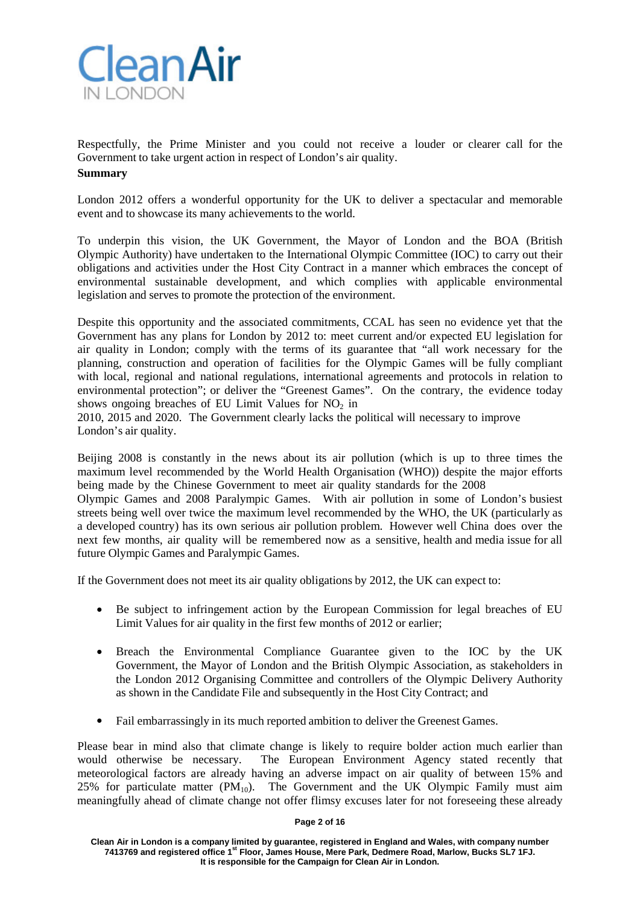

Respectfully, the Prime Minister and you could not receive a louder or clearer call for the Government to take urgent action in respect of London's air quality. **Summary**

London 2012 offers a wonderful opportunity for the UK to deliver a spectacular and memorable event and to showcase its many achievements to the world.

To underpin this vision, the UK Government, the Mayor of London and the BOA (British Olympic Authority) have undertaken to the International Olympic Committee (IOC) to carry out their obligations and activities under the Host City Contract in a manner which embraces the concept of environmental sustainable development, and which complies with applicable environmental legislation and serves to promote the protection of the environment.

Despite this opportunity and the associated commitments, CCAL has seen no evidence yet that the Government has any plans for London by 2012 to: meet current and/or expected EU legislation for air quality in London; comply with the terms of its guarantee that "all work necessary for the planning, construction and operation of facilities for the Olympic Games will be fully compliant with local, regional and national regulations, international agreements and protocols in relation to environmental protection"; or deliver the "Greenest Games". On the contrary, the evidence today shows ongoing breaches of EU Limit Values for  $NO<sub>2</sub>$  in

2010, 2015 and 2020. The Government clearly lacks the political will necessary to improve London's air quality.

Beijing 2008 is constantly in the news about its air pollution (which is up to three times the maximum level recommended by the World Health Organisation (WHO)) despite the major efforts being made by the Chinese Government to meet air quality standards for the 2008

Olympic Games and 2008 Paralympic Games. With air pollution in some of London's busiest streets being well over twice the maximum level recommended by the WHO, the UK (particularly as a developed country) has its own serious air pollution problem. However well China does over the next few months, air quality will be remembered now as a sensitive, health and media issue for all future Olympic Games and Paralympic Games.

If the Government does not meet its air quality obligations by 2012, the UK can expect to:

- Be subject to infringement action by the European Commission for legal breaches of EU Limit Values for air quality in the first few months of 2012 or earlier;
- Breach the Environmental Compliance Guarantee given to the IOC by the UK Government, the Mayor of London and the British Olympic Association, as stakeholders in the London 2012 Organising Committee and controllers of the Olympic Delivery Authority as shown in the Candidate File and subsequently in the Host City Contract; and
- Fail embarrassingly in its much reported ambition to deliver the Greenest Games.

Please bear in mind also that climate change is likely to require bolder action much earlier than would otherwise be necessary. The European Environment Agency stated recently that meteorological factors are already having an adverse impact on air quality of between 15% and 25% for particulate matter  $(PM_{10})$ . The Government and the UK Olympic Family must aim meaningfully ahead of climate change not offer flimsy excuses later for not foreseeing these already

#### **Page 2 of 16**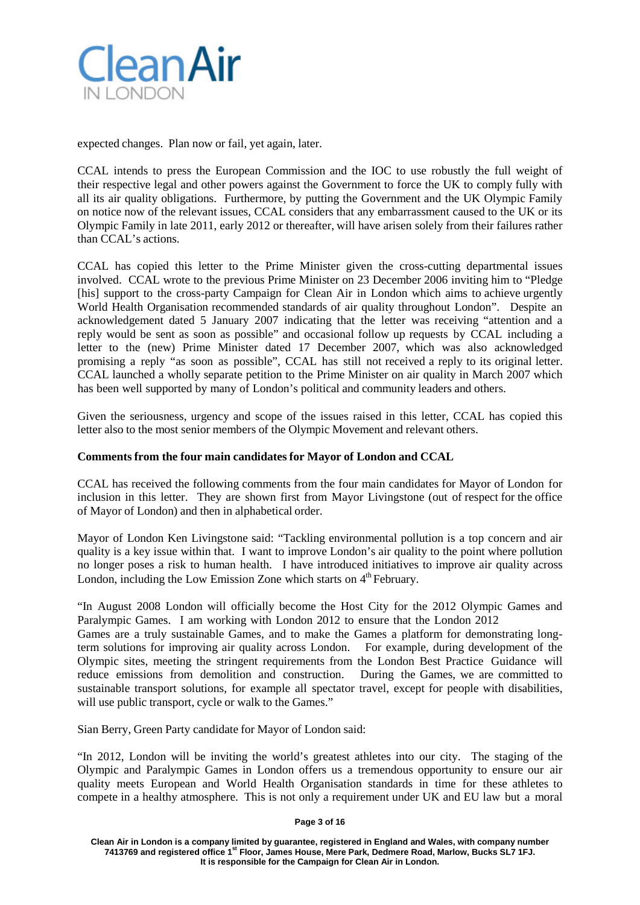

expected changes. Plan now or fail, yet again, later.

CCAL intends to press the European Commission and the IOC to use robustly the full weight of their respective legal and other powers against the Government to force the UK to comply fully with all its air quality obligations. Furthermore, by putting the Government and the UK Olympic Family on notice now of the relevant issues, CCAL considers that any embarrassment caused to the UK or its Olympic Family in late 2011, early 2012 or thereafter, will have arisen solely from their failures rather than CCAL's actions.

CCAL has copied this letter to the Prime Minister given the cross-cutting departmental issues involved. CCAL wrote to the previous Prime Minister on 23 December 2006 inviting him to "Pledge [his] support to the cross-party Campaign for Clean Air in London which aims to achieve urgently World Health Organisation recommended standards of air quality throughout London". Despite an acknowledgement dated 5 January 2007 indicating that the letter was receiving "attention and a reply would be sent as soon as possible" and occasional follow up requests by CCAL including a letter to the (new) Prime Minister dated 17 December 2007, which was also acknowledged promising a reply "as soon as possible", CCAL has still not received a reply to its original letter. CCAL launched a wholly separate petition to the Prime Minister on air quality in March 2007 which has been well supported by many of London's political and community leaders and others.

Given the seriousness, urgency and scope of the issues raised in this letter, CCAL has copied this letter also to the most senior members of the Olympic Movement and relevant others.

## **Commentsfrom the four main candidatesfor Mayor of London and CCAL**

CCAL has received the following comments from the four main candidates for Mayor of London for inclusion in this letter. They are shown first from Mayor Livingstone (out of respect for the office of Mayor of London) and then in alphabetical order.

Mayor of London Ken Livingstone said: "Tackling environmental pollution is a top concern and air quality is a key issue within that. I want to improve London's air quality to the point where pollution no longer poses a risk to human health. I have introduced initiatives to improve air quality across London, including the Low Emission Zone which starts on  $4<sup>th</sup>$  February.

"In August 2008 London will officially become the Host City for the 2012 Olympic Games and Paralympic Games. I am working with London 2012 to ensure that the London 2012

Games are a truly sustainable Games, and to make the Games a platform for demonstrating longterm solutions for improving air quality across London. For example, during development of the Olympic sites, meeting the stringent requirements from the London Best Practice Guidance will reduce emissions from demolition and construction. During the Games, we are committed to sustainable transport solutions, for example all spectator travel, except for people with disabilities, will use public transport, cycle or walk to the Games."

Sian Berry, Green Party candidate for Mayor of London said:

"In 2012, London will be inviting the world's greatest athletes into our city. The staging of the Olympic and Paralympic Games in London offers us a tremendous opportunity to ensure our air quality meets European and World Health Organisation standards in time for these athletes to compete in a healthy atmosphere. This is not only a requirement under UK and EU law but a moral

#### **Page 3 of 16**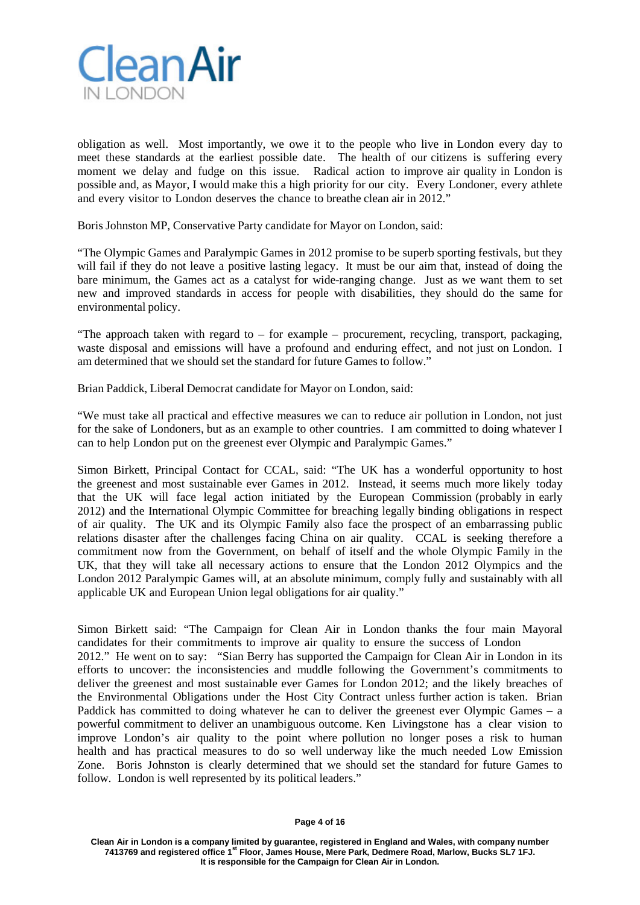

obligation as well. Most importantly, we owe it to the people who live in London every day to meet these standards at the earliest possible date. The health of our citizens is suffering every moment we delay and fudge on this issue. Radical action to improve air quality in London is possible and, as Mayor, I would make this a high priority for our city. Every Londoner, every athlete and every visitor to London deserves the chance to breathe clean air in 2012."

Boris Johnston MP, Conservative Party candidate for Mayor on London, said:

"The Olympic Games and Paralympic Games in 2012 promise to be superb sporting festivals, but they will fail if they do not leave a positive lasting legacy. It must be our aim that, instead of doing the bare minimum, the Games act as a catalyst for wide-ranging change. Just as we want them to set new and improved standards in access for people with disabilities, they should do the same for environmental policy.

"The approach taken with regard to  $-$  for example  $-$  procurement, recycling, transport, packaging, waste disposal and emissions will have a profound and enduring effect, and not just on London. I am determined that we should set the standard for future Games to follow."

Brian Paddick, Liberal Democrat candidate for Mayor on London, said:

"We must take all practical and effective measures we can to reduce air pollution in London, not just for the sake of Londoners, but as an example to other countries. I am committed to doing whatever I can to help London put on the greenest ever Olympic and Paralympic Games."

Simon Birkett, Principal Contact for CCAL, said: "The UK has a wonderful opportunity to host the greenest and most sustainable ever Games in 2012. Instead, it seems much more likely today that the UK will face legal action initiated by the European Commission (probably in early 2012) and the International Olympic Committee for breaching legally binding obligations in respect of air quality. The UK and its Olympic Family also face the prospect of an embarrassing public relations disaster after the challenges facing China on air quality. CCAL is seeking therefore a commitment now from the Government, on behalf of itself and the whole Olympic Family in the UK, that they will take all necessary actions to ensure that the London 2012 Olympics and the London 2012 Paralympic Games will, at an absolute minimum, comply fully and sustainably with all applicable UK and European Union legal obligations for air quality."

Simon Birkett said: "The Campaign for Clean Air in London thanks the four main Mayoral candidates for their commitments to improve air quality to ensure the success of London 2012." He went on to say: "Sian Berry has supported the Campaign for Clean Air in London in its efforts to uncover: the inconsistencies and muddle following the Government's commitments to deliver the greenest and most sustainable ever Games for London 2012; and the likely breaches of the Environmental Obligations under the Host City Contract unless further action is taken. Brian Paddick has committed to doing whatever he can to deliver the greenest ever Olympic Games – a powerful commitment to deliver an unambiguous outcome. Ken Livingstone has a clear vision to improve London's air quality to the point where pollution no longer poses a risk to human health and has practical measures to do so well underway like the much needed Low Emission Zone. Boris Johnston is clearly determined that we should set the standard for future Games to follow. London is well represented by its political leaders."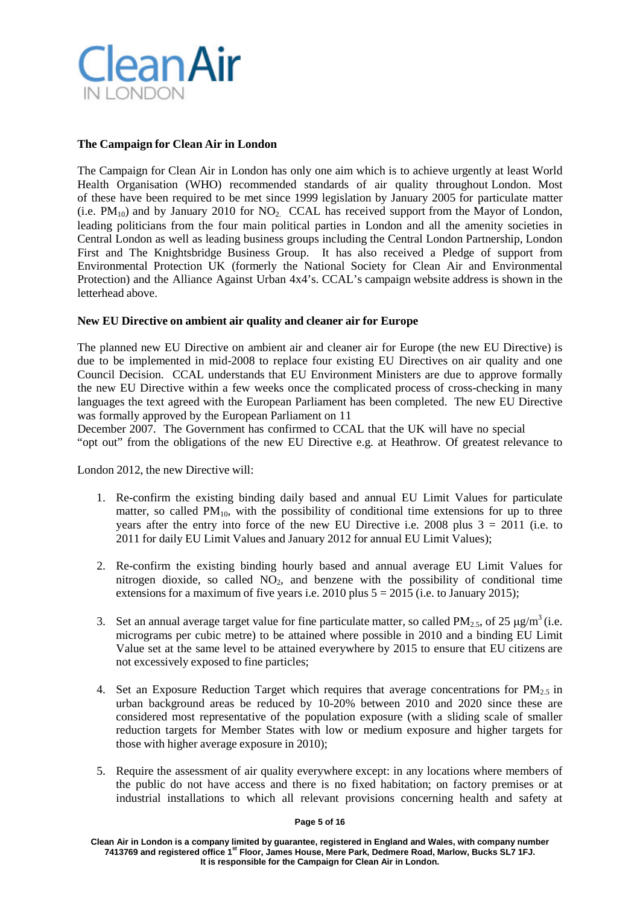

# **The Campaign for Clean Air in London**

The Campaign for Clean Air in London has only one aim which is to achieve urgently at least World Health Organisation (WHO) recommended standards of air quality throughout London. Most of these have been required to be met since 1999 legislation by January 2005 for particulate matter (i.e.  $PM_{10}$ ) and by January 2010 for NO<sub>2</sub>. CCAL has received support from the Mayor of London, leading politicians from the four main political parties in London and all the amenity societies in Central London as well as leading business groups including the Central London Partnership, London First and The Knightsbridge Business Group. It has also received a Pledge of support from Environmental Protection UK (formerly the National Society for Clean Air and Environmental Protection) and the Alliance Against Urban 4x4's. CCAL's campaign website address is shown in the letterhead above.

## **New EU Directive on ambient air quality and cleaner air for Europe**

The planned new EU Directive on ambient air and cleaner air for Europe (the new EU Directive) is due to be implemented in mid-2008 to replace four existing EU Directives on air quality and one Council Decision. CCAL understands that EU Environment Ministers are due to approve formally the new EU Directive within a few weeks once the complicated process of cross-checking in many languages the text agreed with the European Parliament has been completed. The new EU Directive was formally approved by the European Parliament on 11

December 2007. The Government has confirmed to CCAL that the UK will have no special "opt out" from the obligations of the new EU Directive e.g. at Heathrow. Of greatest relevance to

London 2012, the new Directive will:

- 1. Re-confirm the existing binding daily based and annual EU Limit Values for particulate matter, so called  $PM_{10}$ , with the possibility of conditional time extensions for up to three years after the entry into force of the new EU Directive i.e. 2008 plus  $3 = 2011$  (i.e. to 2011 for daily EU Limit Values and January 2012 for annual EU Limit Values);
- 2. Re-confirm the existing binding hourly based and annual average EU Limit Values for nitrogen dioxide, so called  $NO<sub>2</sub>$ , and benzene with the possibility of conditional time extensions for a maximum of five years i.e. 2010 plus  $5 = 2015$  (i.e. to January 2015);
- 3. Set an annual average target value for fine particulate matter, so called  $PM_{2.5}$ , of 25 µg/m<sup>3</sup> (i.e. micrograms per cubic metre) to be attained where possible in 2010 and a binding EU Limit Value set at the same level to be attained everywhere by 2015 to ensure that EU citizens are not excessively exposed to fine particles;
- 4. Set an Exposure Reduction Target which requires that average concentrations for  $PM_2$ , in urban background areas be reduced by 10-20% between 2010 and 2020 since these are considered most representative of the population exposure (with a sliding scale of smaller reduction targets for Member States with low or medium exposure and higher targets for those with higher average exposure in 2010);
- 5. Require the assessment of air quality everywhere except: in any locations where members of the public do not have access and there is no fixed habitation; on factory premises or at industrial installations to which all relevant provisions concerning health and safety at

#### **Page 5 of 16**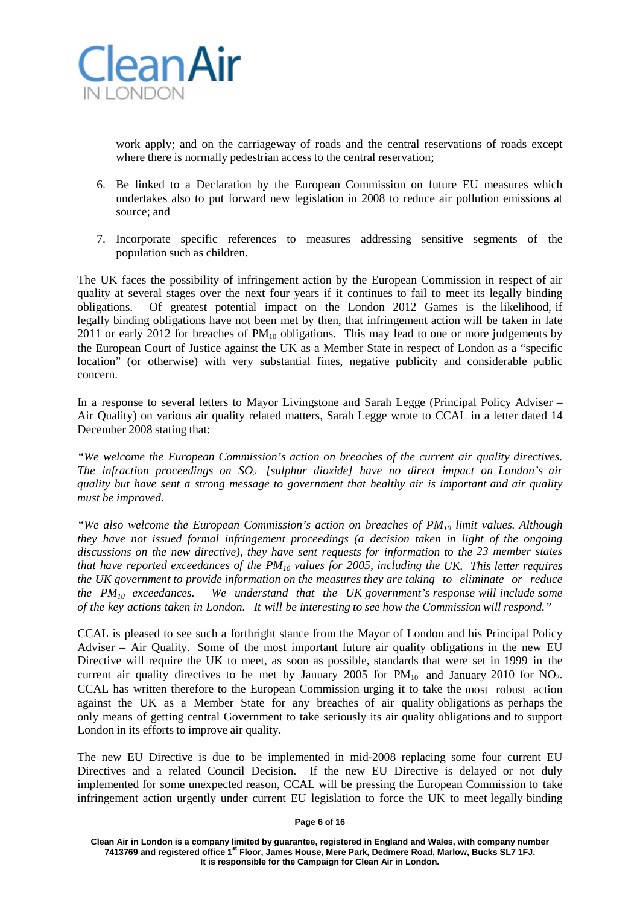

work apply; and on the carriageway of roads and the central reservations of roads except where there is normally pedestrian access to the central reservation;

- 6. Be linked to a Declaration by the European Commission on future EU measures which undertakes also to put forward new legislation in 2008 to reduce air pollution emissions at source; and
- 7. Incorporate specific references to measures addressing sensitive segments of the population such as children.

The UK faces the possibility of infringement action by the European Commission in respect of air quality at several stages over the next four years if it continues to fail to meet its legally binding obligations. Of greatest potential impact on the London 2012 Games is the likelihood, if legally binding obligations have not been met by then, that infringement action will be taken in late 2011 or early 2012 for breaches of  $PM_{10}$  obligations. This may lead to one or more judgements by the European Court of Justice against the UK as a Member State in respect of London as a "specific location" (or otherwise) with very substantial fines, negative publicity and considerable public concern.

In a response to several letters to Mayor Livingstone and Sarah Legge (Principal Policy Adviser – Air Quality) on various air quality related matters, Sarah Legge wrote to CCAL in a letter dated 14 December 2008 stating that:

*"We welcome the European Commission's action on breaches of the current air quality directives. The infraction proceedings on SO2 [sulphur dioxide] have no direct impact on London's air quality but have sent a strong message to government that healthy air is important and air quality must be improved.*

*"We also welcome the European Commission's action on breaches of PM10 limit values. Although they have not issued formal infringement proceedings (a decision taken in light of the ongoing discussions on the new directive), they have sent requests for information to the 23 member states that have reported exceedances of the PM10 values for 2005, including the UK. This letter requires the UK government to provide information on the measures they are taking to eliminate or reduce the PM10 exceedances. We understand that the UK government's response will include some of the key actions taken in London. It will be interesting to see how the Commission will respond."*

CCAL is pleased to see such a forthright stance from the Mayor of London and his Principal Policy Adviser – Air Quality. Some of the most important future air quality obligations in the new EU Directive will require the UK to meet, as soon as possible, standards that were set in 1999 in the current air quality directives to be met by January 2005 for  $PM_{10}$  and January 2010 for NO<sub>2</sub>. CCAL has written therefore to the European Commission urging it to take the most robust action against the UK as a Member State for any breaches of air quality obligations as perhaps the only means of getting central Government to take seriously its air quality obligations and to support London in its efforts to improve air quality.

The new EU Directive is due to be implemented in mid-2008 replacing some four current EU Directives and a related Council Decision. If the new EU Directive is delayed or not duly implemented for some unexpected reason, CCAL will be pressing the European Commission to take infringement action urgently under current EU legislation to force the UK to meet legally binding

#### **Page 6 of 16**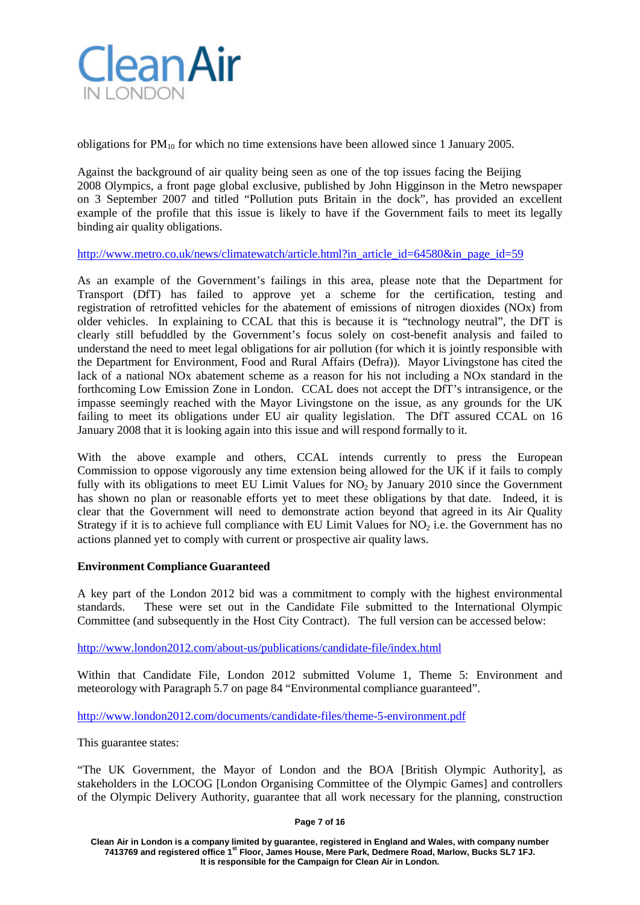

obligations for  $PM_{10}$  for which no time extensions have been allowed since 1 January 2005.

Against the background of air quality being seen as one of the top issues facing the Beijing 2008 Olympics, a front page global exclusive, published by John Higginson in the Metro newspaper on 3 September 2007 and titled "Pollution puts Britain in the dock", has provided an excellent example of the profile that this issue is likely to have if the Government fails to meet its legally binding air quality obligations.

[http://www.metro.co.uk/news/climatewatch/article.html?in\\_article\\_id=64580&in\\_page\\_id=59](http://www.metro.co.uk/news/climatewatch/article.html?in_article_id=64580&in_page_id=59)

As an example of the Government's failings in this area, please note that the Department for Transport (DfT) has failed to approve yet a scheme for the certification, testing and registration of retrofitted vehicles for the abatement of emissions of nitrogen dioxides (NOx) from older vehicles. In explaining to CCAL that this is because it is "technology neutral", the DfT is clearly still befuddled by the Government's focus solely on cost-benefit analysis and failed to understand the need to meet legal obligations for air pollution (for which it is jointly responsible with the Department for Environment, Food and Rural Affairs (Defra)). Mayor Livingstone has cited the lack of a national NOx abatement scheme as a reason for his not including a NOx standard in the forthcoming Low Emission Zone in London. CCAL does not accept the DfT's intransigence, or the impasse seemingly reached with the Mayor Livingstone on the issue, as any grounds for the UK failing to meet its obligations under EU air quality legislation. The DfT assured CCAL on 16 January 2008 that it is looking again into this issue and will respond formally to it.

With the above example and others, CCAL intends currently to press the European Commission to oppose vigorously any time extension being allowed for the UK if it fails to comply fully with its obligations to meet EU Limit Values for  $NO<sub>2</sub>$  by January 2010 since the Government has shown no plan or reasonable efforts yet to meet these obligations by that date. Indeed, it is clear that the Government will need to demonstrate action beyond that agreed in its Air Quality Strategy if it is to achieve full compliance with EU Limit Values for  $NO<sub>2</sub>$  i.e. the Government has no actions planned yet to comply with current or prospective air quality laws.

## **Environment Compliance Guaranteed**

A key part of the London 2012 bid was a commitment to comply with the highest environmental standards. These were set out in the Candidate File submitted to the International Olympic Committee (and subsequently in the Host City Contract). The full version can be accessed below:

<http://www.london2012.com/about-us/publications/candidate-file/index.html>

Within that Candidate File, London 2012 submitted Volume 1, Theme 5: Environment and meteorology with Paragraph 5.7 on page 84 "Environmental compliance guaranteed".

<http://www.london2012.com/documents/candidate-files/theme-5-environment.pdf>

This guarantee states:

"The UK Government, the Mayor of London and the BOA [British Olympic Authority], as stakeholders in the LOCOG [London Organising Committee of the Olympic Games] and controllers of the Olympic Delivery Authority, guarantee that all work necessary for the planning, construction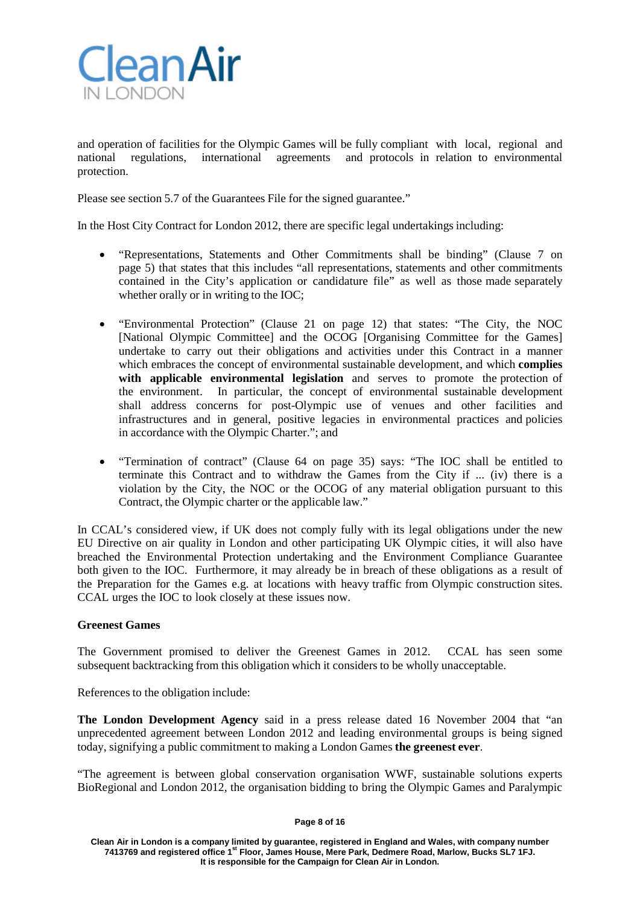

and operation of facilities for the Olympic Games will be fully compliant with local, regional and national regulations, international agreements and protocols in relation to environmental protection.

Please see section 5.7 of the Guarantees File for the signed guarantee."

In the Host City Contract for London 2012, there are specific legal undertakings including:

- "Representations, Statements and Other Commitments shall be binding" (Clause 7 on page 5) that states that this includes "all representations, statements and other commitments contained in the City's application or candidature file" as well as those made separately whether orally or in writing to the IOC;
- "Environmental Protection" (Clause 21 on page 12) that states: "The City, the NOC [National Olympic Committee] and the OCOG [Organising Committee for the Games] undertake to carry out their obligations and activities under this Contract in a manner which embraces the concept of environmental sustainable development, and which **complies with applicable environmental legislation** and serves to promote the protection of the environment. In particular, the concept of environmental sustainable development shall address concerns for post-Olympic use of venues and other facilities and infrastructures and in general, positive legacies in environmental practices and policies in accordance with the Olympic Charter."; and
- "Termination of contract" (Clause 64 on page 35) says: "The IOC shall be entitled to terminate this Contract and to withdraw the Games from the City if ... (iv) there is a violation by the City, the NOC or the OCOG of any material obligation pursuant to this Contract, the Olympic charter or the applicable law."

In CCAL's considered view, if UK does not comply fully with its legal obligations under the new EU Directive on air quality in London and other participating UK Olympic cities, it will also have breached the Environmental Protection undertaking and the Environment Compliance Guarantee both given to the IOC. Furthermore, it may already be in breach of these obligations as a result of the Preparation for the Games e.g. at locations with heavy traffic from Olympic construction sites. CCAL urges the IOC to look closely at these issues now.

## **Greenest Games**

The Government promised to deliver the Greenest Games in 2012. CCAL has seen some subsequent backtracking from this obligation which it considers to be wholly unacceptable.

References to the obligation include:

**The London Development Agency** said in a press release dated 16 November 2004 that "an unprecedented agreement between London 2012 and leading environmental groups is being signed today, signifying a public commitment to making a London Games **the greenest ever**.

"The agreement is between global conservation organisation WWF, sustainable solutions experts BioRegional and London 2012, the organisation bidding to bring the Olympic Games and Paralympic

#### **Page 8 of 16**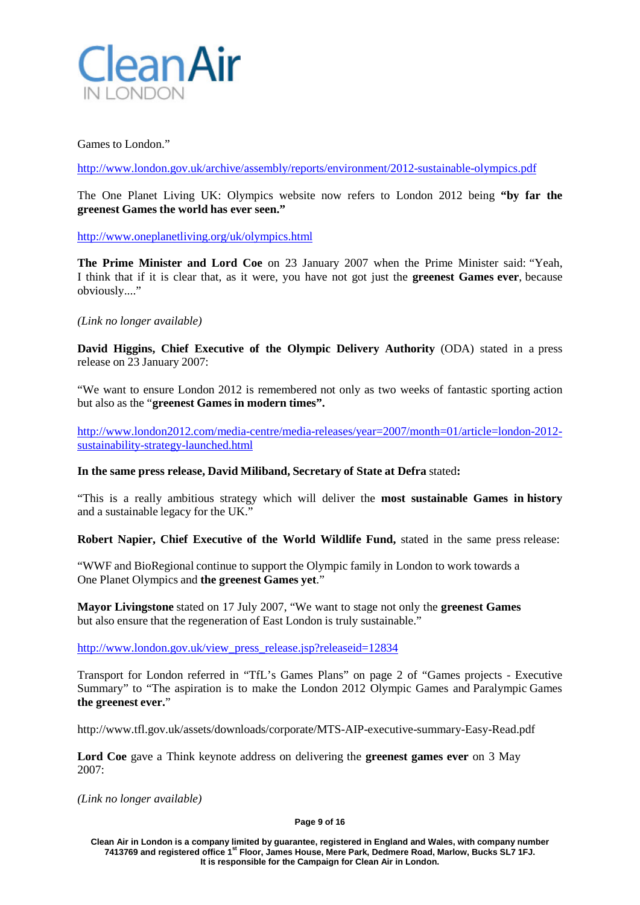

## Games to London."

<http://www.london.gov.uk/archive/assembly/reports/environment/2012-sustainable-olympics.pdf>

The One Planet Living UK: Olympics website now refers to London 2012 being **"by far the greenest Games the world has ever seen."**

<http://www.oneplanetliving.org/uk/olympics.html>

**The Prime Minister and Lord Coe** on 23 January 2007 when the Prime Minister said: "Yeah, I think that if it is clear that, as it were, you have not got just the **greenest Games ever**, because obviously...."

# *(Link no longer available)*

**David Higgins, Chief Executive of the Olympic Delivery Authority** (ODA) stated in a press release on 23 January 2007:

"We want to ensure London 2012 is remembered not only as two weeks of fantastic sporting action but also as the "**greenest Games in modern times".**

[http://www.london2012.com/media-centre/media-releases/year=2007/month=01/article=london-2012](http://www.london2012.com/media-centre/media-releases/year=2007/month=01/article=london-2012-sustainability-strategy-launched.html) [sustainability-strategy-launched.html](http://www.london2012.com/media-centre/media-releases/year=2007/month=01/article=london-2012-sustainability-strategy-launched.html)

## **In the same press release, David Miliband, Secretary of State at Defra** stated**:**

"This is a really ambitious strategy which will deliver the **most sustainable Games in history** and a sustainable legacy for the UK."

**Robert Napier, Chief Executive of the World Wildlife Fund,** stated in the same press release:

"WWF and BioRegional continue to support the Olympic family in London to work towards a One Planet Olympics and **the greenest Games yet**."

**Mayor Livingstone** stated on 17 July 2007, "We want to stage not only the **greenest Games** but also ensure that the regeneration of East London is truly sustainable."

[http://www.london.gov.uk/view\\_press\\_release.jsp?releaseid=12834](http://www.london.gov.uk/view_press_release.jsp?releaseid=12834)

Transport for London referred in "TfL's Games Plans" on page 2 of "Games projects - Executive Summary" to "The aspiration is to make the London 2012 Olympic Games and Paralympic Games **the greenest ever.**"

http://www.tfl.gov.uk/assets/downloads/corporate/MTS-AIP-executive-summary-Easy-Read.pdf

**Lord Coe** gave a Think keynote address on delivering the **greenest games ever** on 3 May 2007:

*(Link no longer available)*

#### **Page 9 of 16**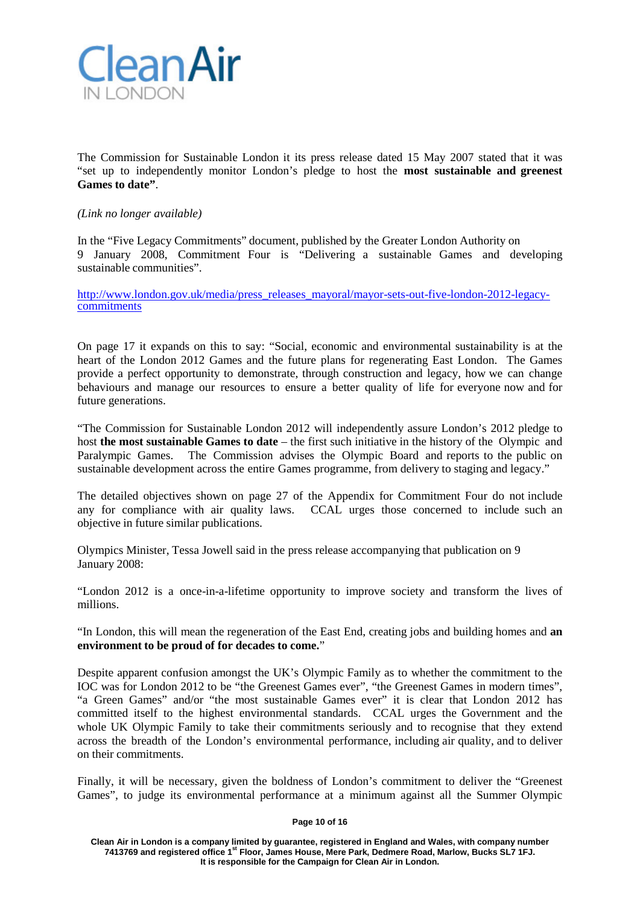

The Commission for Sustainable London it its press release dated 15 May 2007 stated that it was "set up to independently monitor London's pledge to host the **most sustainable and greenest Games to date"**.

## *(Link no longer available)*

In the "Five Legacy Commitments" document, published by the Greater London Authority on 9 January 2008, Commitment Four is "Delivering a sustainable Games and developing sustainable communities".

[http://www.london.gov.uk/media/press\\_releases\\_mayoral/mayor-sets-out-five-london-2012-legacy-](http://www.london.gov.uk/media/press_releases_mayoral/mayor-sets-out-five-london-2012-legacy-commitments) [commitments](http://www.london.gov.uk/media/press_releases_mayoral/mayor-sets-out-five-london-2012-legacy-commitments)

On page 17 it expands on this to say: "Social, economic and environmental sustainability is at the heart of the London 2012 Games and the future plans for regenerating East London. The Games provide a perfect opportunity to demonstrate, through construction and legacy, how we can change behaviours and manage our resources to ensure a better quality of life for everyone now and for future generations.

"The Commission for Sustainable London 2012 will independently assure London's 2012 pledge to host **the most sustainable Games to date** – the first such initiative in the history of the Olympic and Paralympic Games. The Commission advises the Olympic Board and reports to the public on sustainable development across the entire Games programme, from delivery to staging and legacy."

The detailed objectives shown on page 27 of the Appendix for Commitment Four do not include any for compliance with air quality laws. CCAL urges those concerned to include such an objective in future similar publications.

Olympics Minister, Tessa Jowell said in the press release accompanying that publication on 9 January 2008:

"London 2012 is a once-in-a-lifetime opportunity to improve society and transform the lives of millions.

"In London, this will mean the regeneration of the East End, creating jobs and building homes and **an environment to be proud of for decades to come.**"

Despite apparent confusion amongst the UK's Olympic Family as to whether the commitment to the IOC was for London 2012 to be "the Greenest Games ever", "the Greenest Games in modern times", "a Green Games" and/or "the most sustainable Games ever" it is clear that London 2012 has committed itself to the highest environmental standards. CCAL urges the Government and the whole UK Olympic Family to take their commitments seriously and to recognise that they extend across the breadth of the London's environmental performance, including air quality, and to deliver on their commitments.

Finally, it will be necessary, given the boldness of London's commitment to deliver the "Greenest Games", to judge its environmental performance at a minimum against all the Summer Olympic

#### **Page 10 of 16**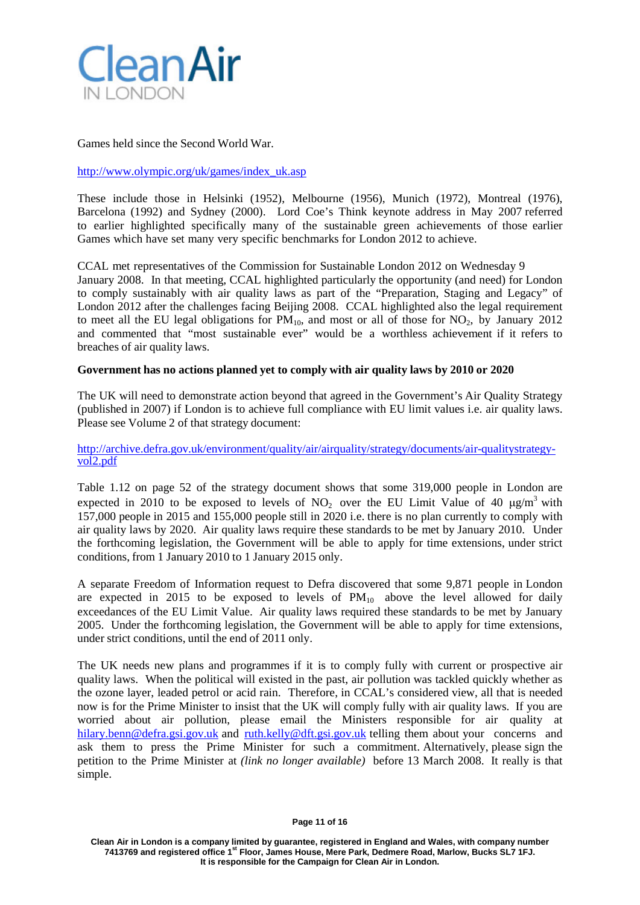

Games held since the Second World War.

## [http://www.olympic.org/uk/games/index\\_uk.asp](http://www.olympic.org/uk/games/index_uk.asp)

These include those in Helsinki (1952), Melbourne (1956), Munich (1972), Montreal (1976), Barcelona (1992) and Sydney (2000). Lord Coe's Think keynote address in May 2007 referred to earlier highlighted specifically many of the sustainable green achievements of those earlier Games which have set many very specific benchmarks for London 2012 to achieve.

CCAL met representatives of the Commission for Sustainable London 2012 on Wednesday 9 January 2008. In that meeting, CCAL highlighted particularly the opportunity (and need) for London to comply sustainably with air quality laws as part of the "Preparation, Staging and Legacy" of London 2012 after the challenges facing Beijing 2008. CCAL highlighted also the legal requirement to meet all the EU legal obligations for  $PM_{10}$ , and most or all of those for  $NO_2$ , by January 2012 and commented that "most sustainable ever" would be a worthless achievement if it refers to breaches of air quality laws.

#### **Government has no actions planned yet to comply with air quality laws by 2010 or 2020**

The UK will need to demonstrate action beyond that agreed in the Government's Air Quality Strategy (published in 2007) if London is to achieve full compliance with EU limit values i.e. air quality laws. Please see Volume 2 of that strategy document:

[http://archive.defra.gov.uk/environment/quality/air/airquality/strategy/documents/air-qualitystrategy-](http://archive.defra.gov.uk/environment/quality/air/airquality/strategy/documents/air-qualitystrategy-vol2.pdf) [vol2.pdf](http://archive.defra.gov.uk/environment/quality/air/airquality/strategy/documents/air-qualitystrategy-vol2.pdf)

Table 1.12 on page 52 of the strategy document shows that some 319,000 people in London are expected in 2010 to be exposed to levels of NO<sub>2</sub> over the EU Limit Value of 40  $\mu$ g/m<sup>3</sup> with 157,000 people in 2015 and 155,000 people still in 2020 i.e. there is no plan currently to comply with air quality laws by 2020. Air quality laws require these standards to be met by January 2010. Under the forthcoming legislation, the Government will be able to apply for time extensions, under strict conditions, from 1 January 2010 to 1 January 2015 only.

A separate Freedom of Information request to Defra discovered that some 9,871 people in London are expected in 2015 to be exposed to levels of  $PM_{10}$  above the level allowed for daily exceedances of the EU Limit Value. Air quality laws required these standards to be met by January 2005. Under the forthcoming legislation, the Government will be able to apply for time extensions, under strict conditions, until the end of 2011 only.

The UK needs new plans and programmes if it is to comply fully with current or prospective air quality laws. When the political will existed in the past, air pollution was tackled quickly whether as the ozone layer, leaded petrol or acid rain. Therefore, in CCAL's considered view, all that is needed now is for the Prime Minister to insist that the UK will comply fully with air quality laws. If you are worried about air pollution, please email the Ministers responsible for air quality at [hilary.benn@defra.gsi.gov.uk](mailto:hilary.benn@defra.gsi.gov.uk) and [ruth.kelly@dft.gsi.gov.uk](mailto:ruth.kelly@dft.gsi.gov.uk) telling them about your concerns and ask them to press the Prime Minister for such a commitment. Alternatively, please sign the petition to the Prime Minister at *[\(link no longer available\)](http://petitions.pm.gov.uk/LondonCleanAir/)* before 13 March 2008. It really is that simple.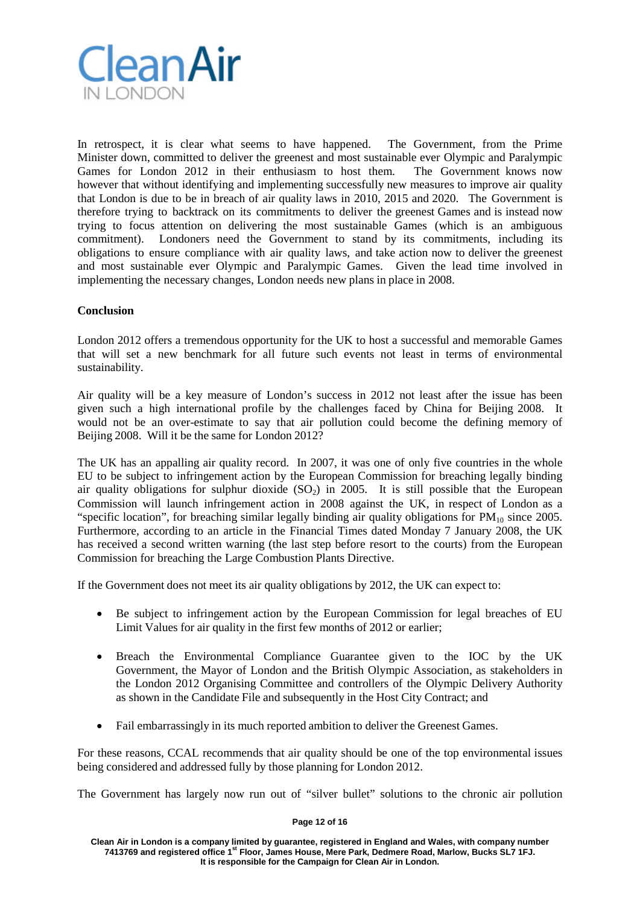

In retrospect, it is clear what seems to have happened. The Government, from the Prime Minister down, committed to deliver the greenest and most sustainable ever Olympic and Paralympic Games for London 2012 in their enthusiasm to host them. The Government knows now however that without identifying and implementing successfully new measures to improve air quality that London is due to be in breach of air quality laws in 2010, 2015 and 2020. The Government is therefore trying to backtrack on its commitments to deliver the greenest Games and is instead now trying to focus attention on delivering the most sustainable Games (which is an ambiguous commitment). Londoners need the Government to stand by its commitments, including its obligations to ensure compliance with air quality laws, and take action now to deliver the greenest and most sustainable ever Olympic and Paralympic Games. Given the lead time involved in implementing the necessary changes, London needs new plans in place in 2008.

# **Conclusion**

London 2012 offers a tremendous opportunity for the UK to host a successful and memorable Games that will set a new benchmark for all future such events not least in terms of environmental sustainability.

Air quality will be a key measure of London's success in 2012 not least after the issue has been given such a high international profile by the challenges faced by China for Beijing 2008. It would not be an over-estimate to say that air pollution could become the defining memory of Beijing 2008. Will it be the same for London 2012?

The UK has an appalling air quality record. In 2007, it was one of only five countries in the whole EU to be subject to infringement action by the European Commission for breaching legally binding air quality obligations for sulphur dioxide  $(SO<sub>2</sub>)$  in 2005. It is still possible that the European Commission will launch infringement action in 2008 against the UK, in respect of London as a "specific location", for breaching similar legally binding air quality obligations for  $PM_{10}$  since 2005. Furthermore, according to an article in the Financial Times dated Monday 7 January 2008, the UK has received a second written warning (the last step before resort to the courts) from the European Commission for breaching the Large Combustion Plants Directive.

If the Government does not meet its air quality obligations by 2012, the UK can expect to:

- Be subject to infringement action by the European Commission for legal breaches of EU Limit Values for air quality in the first few months of 2012 or earlier;
- Breach the Environmental Compliance Guarantee given to the IOC by the UK Government, the Mayor of London and the British Olympic Association, as stakeholders in the London 2012 Organising Committee and controllers of the Olympic Delivery Authority as shown in the Candidate File and subsequently in the Host City Contract; and
- Fail embarrassingly in its much reported ambition to deliver the Greenest Games.

For these reasons, CCAL recommends that air quality should be one of the top environmental issues being considered and addressed fully by those planning for London 2012.

The Government has largely now run out of "silver bullet" solutions to the chronic air pollution

#### **Page 12 of 16**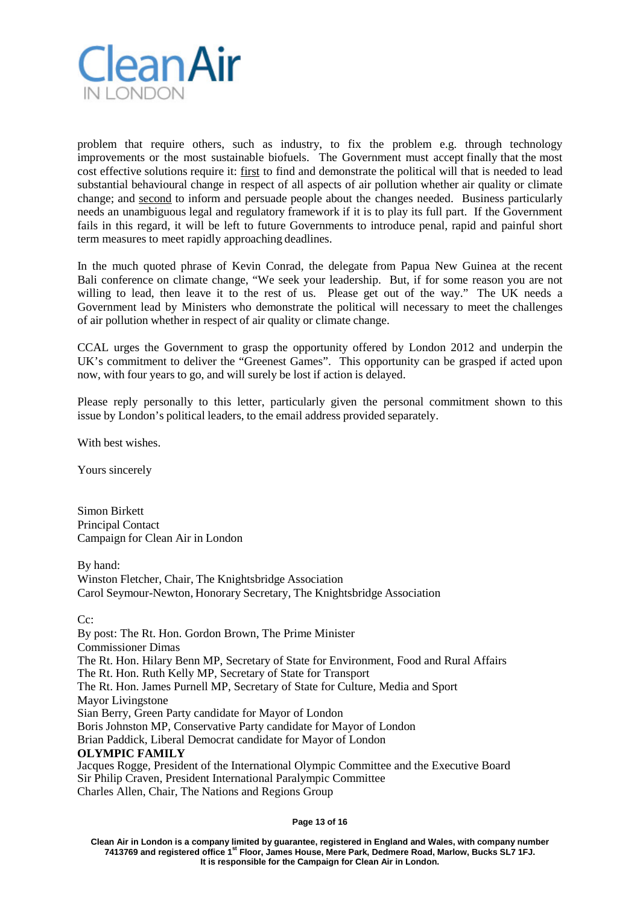

problem that require others, such as industry, to fix the problem e.g. through technology improvements or the most sustainable biofuels. The Government must accept finally that the most cost effective solutions require it: first to find and demonstrate the political will that is needed to lead substantial behavioural change in respect of all aspects of air pollution whether air quality or climate change; and second to inform and persuade people about the changes needed. Business particularly needs an unambiguous legal and regulatory framework if it is to play its full part. If the Government fails in this regard, it will be left to future Governments to introduce penal, rapid and painful short term measures to meet rapidly approaching deadlines.

In the much quoted phrase of Kevin Conrad, the delegate from Papua New Guinea at the recent Bali conference on climate change, "We seek your leadership. But, if for some reason you are not willing to lead, then leave it to the rest of us. Please get out of the way." The UK needs a Government lead by Ministers who demonstrate the political will necessary to meet the challenges of air pollution whether in respect of air quality or climate change.

CCAL urges the Government to grasp the opportunity offered by London 2012 and underpin the UK's commitment to deliver the "Greenest Games". This opportunity can be grasped if acted upon now, with four years to go, and will surely be lost if action is delayed.

Please reply personally to this letter, particularly given the personal commitment shown to this issue by London's political leaders, to the email address provided separately.

With best wishes.

Yours sincerely

Simon Birkett Principal Contact Campaign for Clean Air in London

By hand:

Winston Fletcher, Chair, The Knightsbridge Association Carol Seymour-Newton, Honorary Secretary, The Knightsbridge Association

Cc:

By post: The Rt. Hon. Gordon Brown, The Prime Minister Commissioner Dimas The Rt. Hon. Hilary Benn MP, Secretary of State for Environment, Food and Rural Affairs The Rt. Hon. Ruth Kelly MP, Secretary of State for Transport The Rt. Hon. James Purnell MP, Secretary of State for Culture, Media and Sport Mayor Livingstone Sian Berry, Green Party candidate for Mayor of London Boris Johnston MP, Conservative Party candidate for Mayor of London Brian Paddick, Liberal Democrat candidate for Mayor of London **OLYMPIC FAMILY** Jacques Rogge, President of the International Olympic Committee and the Executive Board Sir Philip Craven, President International Paralympic Committee Charles Allen, Chair, The Nations and Regions Group

**Page 13 of 16**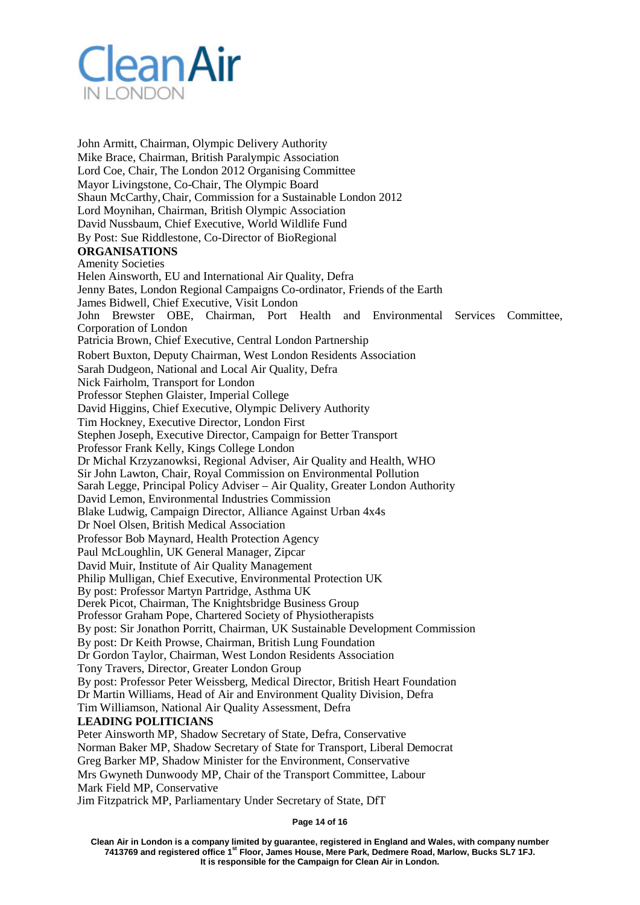

John Armitt, Chairman, Olympic Delivery Authority Mike Brace, Chairman, British Paralympic Association Lord Coe, Chair, The London 2012 Organising Committee Mayor Livingstone, Co-Chair, The Olympic Board Shaun McCarthy,Chair, Commission for a Sustainable London 2012 Lord Moynihan, Chairman, British Olympic Association David Nussbaum, Chief Executive, World Wildlife Fund By Post: Sue Riddlestone, Co-Director of BioRegional **ORGANISATIONS** Amenity Societies Helen Ainsworth, EU and International Air Quality, Defra Jenny Bates, London Regional Campaigns Co-ordinator, Friends of the Earth James Bidwell, Chief Executive, Visit London John Brewster OBE, Chairman, Port Health and Environmental Services Committee, Corporation of London Patricia Brown, Chief Executive, Central London Partnership Robert Buxton, Deputy Chairman, West London Residents Association Sarah Dudgeon, National and Local Air Quality, Defra Nick Fairholm, Transport for London Professor Stephen Glaister, Imperial College David Higgins, Chief Executive, Olympic Delivery Authority Tim Hockney, Executive Director, London First Stephen Joseph, Executive Director, Campaign for Better Transport Professor Frank Kelly, Kings College London Dr Michal Krzyzanowksi, Regional Adviser, Air Quality and Health, WHO Sir John Lawton, Chair, Royal Commission on Environmental Pollution Sarah Legge, Principal Policy Adviser – Air Quality, Greater London Authority David Lemon, Environmental Industries Commission Blake Ludwig, Campaign Director, Alliance Against Urban 4x4s Dr Noel Olsen, British Medical Association Professor Bob Maynard, Health Protection Agency Paul McLoughlin, UK General Manager, Zipcar David Muir, Institute of Air Quality Management Philip Mulligan, Chief Executive, Environmental Protection UK By post: Professor Martyn Partridge, Asthma UK Derek Picot, Chairman, The Knightsbridge Business Group Professor Graham Pope, Chartered Society of Physiotherapists By post: Sir Jonathon Porritt, Chairman, UK Sustainable Development Commission By post: Dr Keith Prowse, Chairman, British Lung Foundation Dr Gordon Taylor, Chairman, West London Residents Association Tony Travers, Director, Greater London Group By post: Professor Peter Weissberg, Medical Director, British Heart Foundation Dr Martin Williams, Head of Air and Environment Quality Division, Defra Tim Williamson, National Air Quality Assessment, Defra **LEADING POLITICIANS** Peter Ainsworth MP, Shadow Secretary of State, Defra, Conservative Norman Baker MP, Shadow Secretary of State for Transport, Liberal Democrat Greg Barker MP, Shadow Minister for the Environment, Conservative Mrs Gwyneth Dunwoody MP, Chair of the Transport Committee, Labour

Mark Field MP, Conservative

Jim Fitzpatrick MP, Parliamentary Under Secretary of State, DfT

**Page 14 of 16**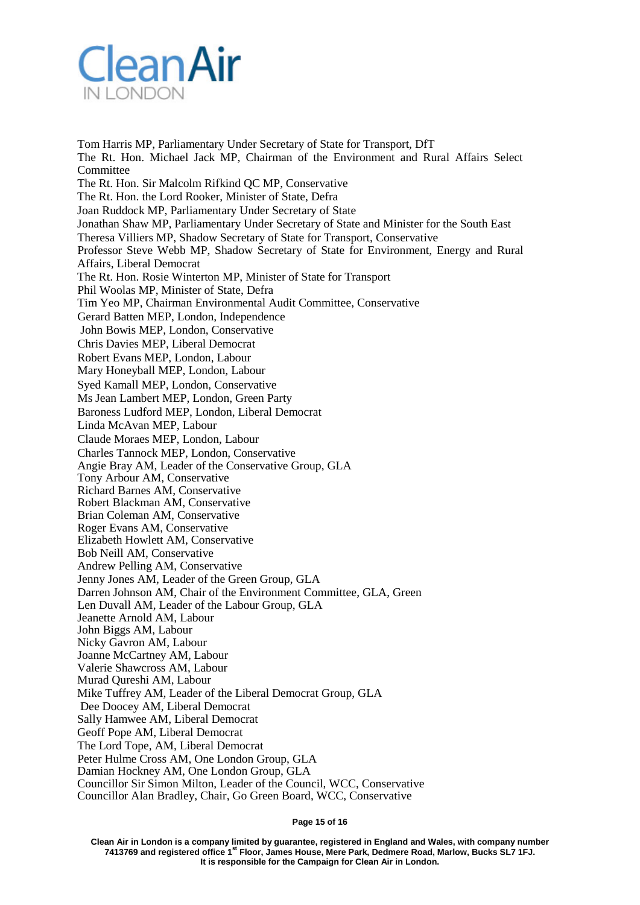

Tom Harris MP, Parliamentary Under Secretary of State for Transport, DfT The Rt. Hon. Michael Jack MP, Chairman of the Environment and Rural Affairs Select Committee The Rt. Hon. Sir Malcolm Rifkind QC MP, Conservative The Rt. Hon. the Lord Rooker, Minister of State, Defra Joan Ruddock MP, Parliamentary Under Secretary of State Jonathan Shaw MP, Parliamentary Under Secretary of State and Minister for the South East Theresa Villiers MP, Shadow Secretary of State for Transport, Conservative Professor Steve Webb MP, Shadow Secretary of State for Environment, Energy and Rural Affairs, Liberal Democrat The Rt. Hon. Rosie Winterton MP, Minister of State for Transport Phil Woolas MP, Minister of State, Defra Tim Yeo MP, Chairman Environmental Audit Committee, Conservative Gerard Batten MEP, London, Independence John Bowis MEP, London, Conservative Chris Davies MEP, Liberal Democrat Robert Evans MEP, London, Labour Mary Honeyball MEP, London, Labour Syed Kamall MEP, London, Conservative Ms Jean Lambert MEP, London, Green Party Baroness Ludford MEP, London, Liberal Democrat Linda McAvan MEP, Labour Claude Moraes MEP, London, Labour Charles Tannock MEP, London, Conservative Angie Bray AM, Leader of the Conservative Group, GLA Tony Arbour AM, Conservative Richard Barnes AM, Conservative Robert Blackman AM, Conservative Brian Coleman AM, Conservative Roger Evans AM, Conservative Elizabeth Howlett AM, Conservative Bob Neill AM, Conservative Andrew Pelling AM, Conservative Jenny Jones AM, Leader of the Green Group, GLA Darren Johnson AM, Chair of the Environment Committee, GLA, Green Len Duvall AM, Leader of the Labour Group, GLA Jeanette Arnold AM, Labour John Biggs AM, Labour Nicky Gavron AM, Labour Joanne McCartney AM, Labour Valerie Shawcross AM, Labour Murad Qureshi AM, Labour Mike Tuffrey AM, Leader of the Liberal Democrat Group, GLA Dee Doocey AM, Liberal Democrat Sally Hamwee AM, Liberal Democrat Geoff Pope AM, Liberal Democrat The Lord Tope, AM, Liberal Democrat Peter Hulme Cross AM, One London Group, GLA Damian Hockney AM, One London Group, GLA Councillor Sir Simon Milton, Leader of the Council, WCC, Conservative Councillor Alan Bradley, Chair, Go Green Board, WCC, Conservative

**Page 15 of 16**